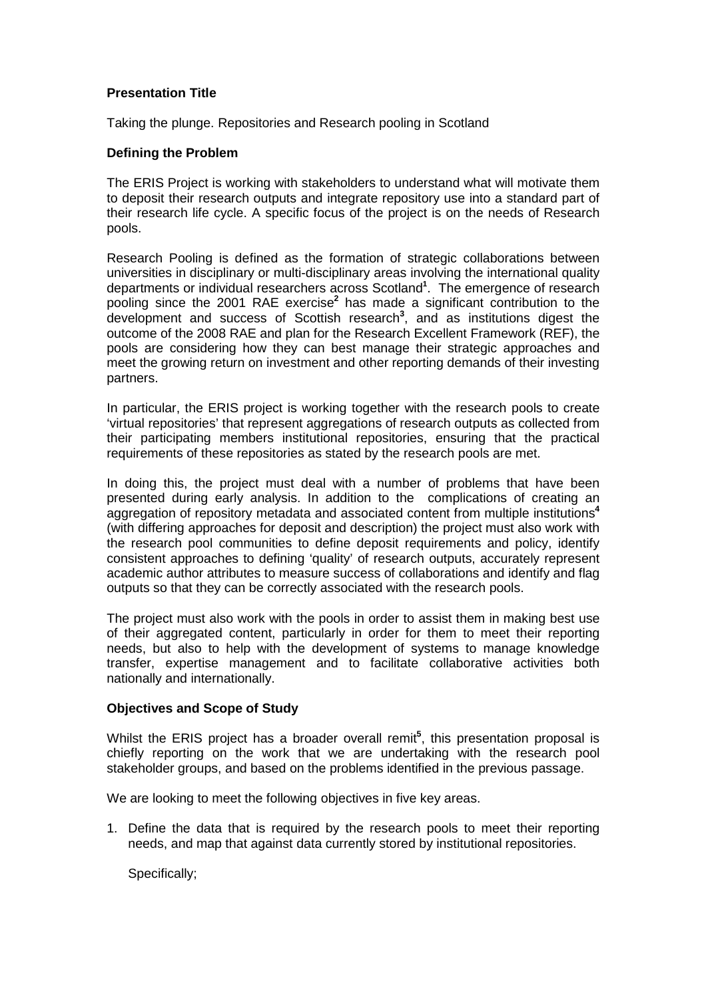# **Presentation Title**

Taking the plunge. Repositories and Research pooling in Scotland

### **Defining the Problem**

The ERIS Project is working with stakeholders to understand what will motivate them to deposit their research outputs and integrate repository use into a standard part of their research life cycle. A specific focus of the project is on the needs of Research pools.

Research Pooling is defined as the formation of strategic collaborations between universities in disciplinary or multi-disciplinary areas involving the international quality departments or individual researchers across Scotland**<sup>1</sup>** . The emergence of research pooling since the 2001 RAE exercise**<sup>2</sup>** has made a significant contribution to the development and success of Scottish research**<sup>3</sup>** , and as institutions digest the outcome of the 2008 RAE and plan for the Research Excellent Framework (REF), the pools are considering how they can best manage their strategic approaches and meet the growing return on investment and other reporting demands of their investing partners.

In particular, the ERIS project is working together with the research pools to create 'virtual repositories' that represent aggregations of research outputs as collected from their participating members institutional repositories, ensuring that the practical requirements of these repositories as stated by the research pools are met.

In doing this, the project must deal with a number of problems that have been presented during early analysis. In addition to the complications of creating an aggregation of repository metadata and associated content from multiple institutions**<sup>4</sup>** (with differing approaches for deposit and description) the project must also work with the research pool communities to define deposit requirements and policy, identify consistent approaches to defining 'quality' of research outputs, accurately represent academic author attributes to measure success of collaborations and identify and flag outputs so that they can be correctly associated with the research pools.

The project must also work with the pools in order to assist them in making best use of their aggregated content, particularly in order for them to meet their reporting needs, but also to help with the development of systems to manage knowledge transfer, expertise management and to facilitate collaborative activities both nationally and internationally.

# **Objectives and Scope of Study**

Whilst the ERIS project has a broader overall remit<sup>5</sup>, this presentation proposal is chiefly reporting on the work that we are undertaking with the research pool stakeholder groups, and based on the problems identified in the previous passage.

We are looking to meet the following objectives in five key areas.

1. Define the data that is required by the research pools to meet their reporting needs, and map that against data currently stored by institutional repositories.

Specifically;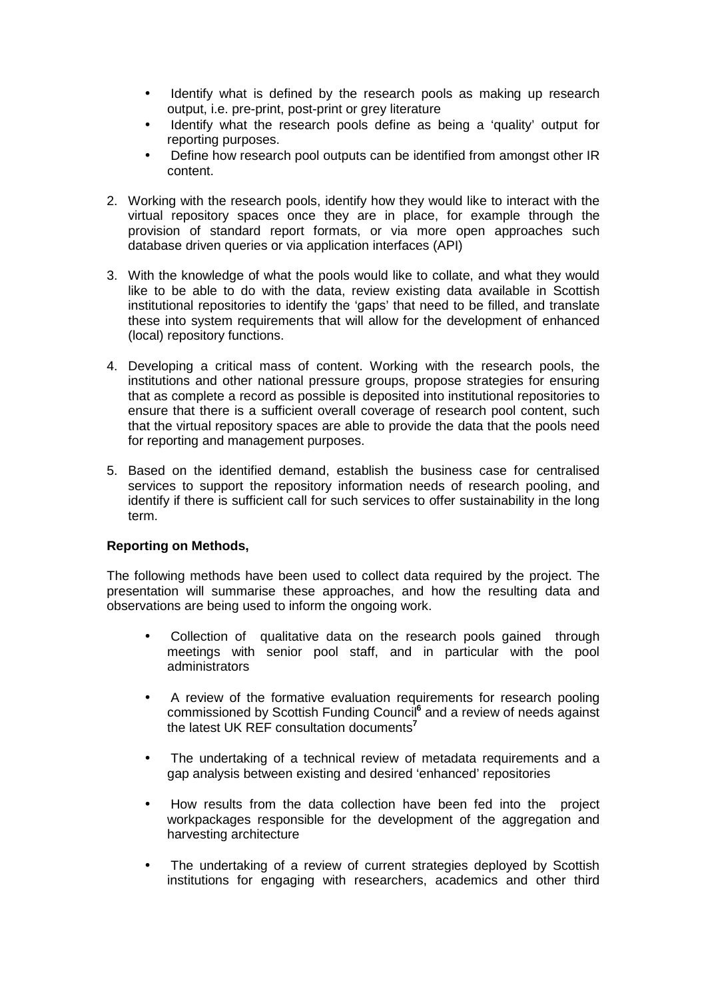- Identify what is defined by the research pools as making up research output, i.e. pre-print, post-print or grey literature
- Identify what the research pools define as being a 'quality' output for reporting purposes.
- Define how research pool outputs can be identified from amongst other IR content.
- 2. Working with the research pools, identify how they would like to interact with the virtual repository spaces once they are in place, for example through the provision of standard report formats, or via more open approaches such database driven queries or via application interfaces (API)
- 3. With the knowledge of what the pools would like to collate, and what they would like to be able to do with the data, review existing data available in Scottish institutional repositories to identify the 'gaps' that need to be filled, and translate these into system requirements that will allow for the development of enhanced (local) repository functions.
- 4. Developing a critical mass of content. Working with the research pools, the institutions and other national pressure groups, propose strategies for ensuring that as complete a record as possible is deposited into institutional repositories to ensure that there is a sufficient overall coverage of research pool content, such that the virtual repository spaces are able to provide the data that the pools need for reporting and management purposes.
- 5. Based on the identified demand, establish the business case for centralised services to support the repository information needs of research pooling, and identify if there is sufficient call for such services to offer sustainability in the long term.

# **Reporting on Methods,**

The following methods have been used to collect data required by the project. The presentation will summarise these approaches, and how the resulting data and observations are being used to inform the ongoing work.

- Collection of qualitative data on the research pools gained through meetings with senior pool staff, and in particular with the pool administrators
- A review of the formative evaluation requirements for research pooling commissioned by Scottish Funding Council<sup>6</sup> and a review of needs against the latest UK REF consultation documents**<sup>7</sup>**
- The undertaking of a technical review of metadata requirements and a gap analysis between existing and desired 'enhanced' repositories
- How results from the data collection have been fed into the project workpackages responsible for the development of the aggregation and harvesting architecture
- The undertaking of a review of current strategies deployed by Scottish institutions for engaging with researchers, academics and other third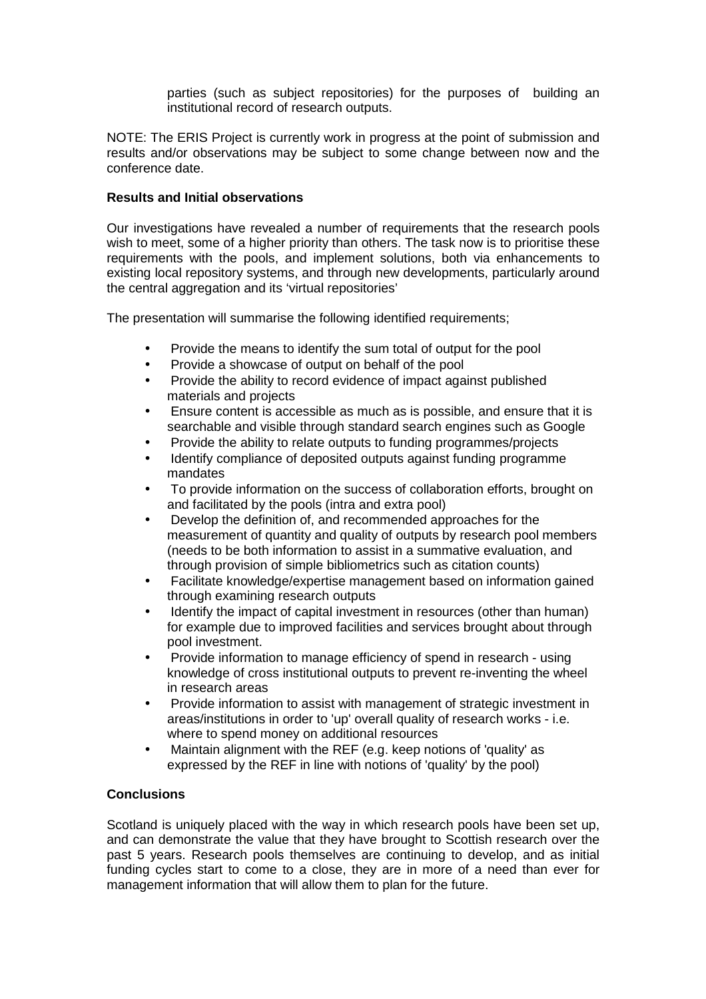parties (such as subject repositories) for the purposes of building an institutional record of research outputs.

NOTE: The ERIS Project is currently work in progress at the point of submission and results and/or observations may be subject to some change between now and the conference date.

### **Results and Initial observations**

Our investigations have revealed a number of requirements that the research pools wish to meet, some of a higher priority than others. The task now is to prioritise these requirements with the pools, and implement solutions, both via enhancements to existing local repository systems, and through new developments, particularly around the central aggregation and its 'virtual repositories'

The presentation will summarise the following identified requirements;

- Provide the means to identify the sum total of output for the pool
- Provide a showcase of output on behalf of the pool
- Provide the ability to record evidence of impact against published materials and projects
- Ensure content is accessible as much as is possible, and ensure that it is searchable and visible through standard search engines such as Google
- Provide the ability to relate outputs to funding programmes/projects
- Identify compliance of deposited outputs against funding programme mandates
- To provide information on the success of collaboration efforts, brought on and facilitated by the pools (intra and extra pool)
- Develop the definition of, and recommended approaches for the measurement of quantity and quality of outputs by research pool members (needs to be both information to assist in a summative evaluation, and through provision of simple bibliometrics such as citation counts)
- Facilitate knowledge/expertise management based on information gained through examining research outputs
- Identify the impact of capital investment in resources (other than human) for example due to improved facilities and services brought about through pool investment.
- Provide information to manage efficiency of spend in research using knowledge of cross institutional outputs to prevent re-inventing the wheel in research areas
- Provide information to assist with management of strategic investment in areas/institutions in order to 'up' overall quality of research works - i.e. where to spend money on additional resources
- Maintain alignment with the REF (e.g. keep notions of 'quality' as expressed by the REF in line with notions of 'quality' by the pool)

# **Conclusions**

Scotland is uniquely placed with the way in which research pools have been set up, and can demonstrate the value that they have brought to Scottish research over the past 5 years. Research pools themselves are continuing to develop, and as initial funding cycles start to come to a close, they are in more of a need than ever for management information that will allow them to plan for the future.